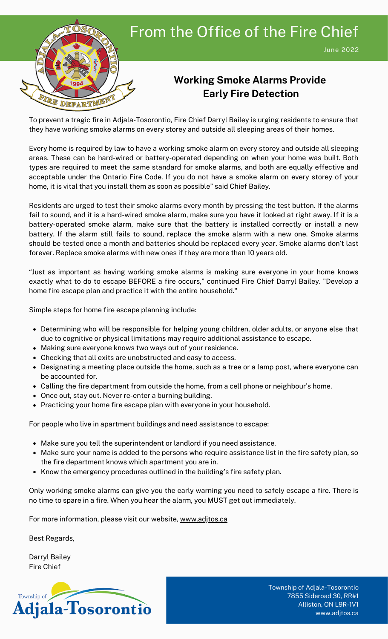

## From the Office of the Fire Chief

#### **Working Smoke Alarms Provide Early Fire Detection**

To prevent a tragic fire in Adjala-Tosorontio, Fire Chief Darryl Bailey is urging residents to ensure that they have working smoke alarms on every storey and outside all sleeping areas of their homes.

Every home is required by law to have a working smoke alarm on every storey and outside all sleeping areas. These can be hard-wired or battery-operated depending on when your home was built. Both types are required to meet the same standard for smoke alarms, and both are equally effective and acceptable under the Ontario Fire Code. If you do not have a smoke alarm on every storey of your home, it is vital that you install them as soon as possible" said Chief Bailey.

Residents are urged to test their smoke alarms every month by pressing the test button. If the alarms fail to sound, and it is a hard-wired smoke alarm, make sure you have it looked at right away. If it is a battery-operated smoke alarm, make sure that the battery is installed correctly or install a new battery. If the alarm still fails to sound, replace the smoke alarm with a new one. Smoke alarms should be tested once a month and batteries should be replaced every year. Smoke alarms don't last forever. Replace smoke alarms with new ones if they are more than 10 years old.

"Just as important as having working smoke alarms is making sure everyone in your home knows exactly what to do to escape BEFORE a fire occurs," continued Fire Chief Darryl Bailey. "Develop a home fire escape plan and practice it with the entire household."

Simple steps for home fire escape planning include:

- Determining who will be responsible for helping young children, older adults, or anyone else that due to cognitive or physical limitations may require additional assistance to escape.
- Making sure everyone knows two ways out of your residence.
- Checking that all exits are unobstructed and easy to access.
- Designating a meeting place outside the home, such as a tree or a lamp post, where everyone can be accounted for.
- Calling the fire department from outside the home, from a cell phone or neighbour's home.
- Once out, stay out. Never re-enter a burning building.
- Practicing your home fire escape plan with everyone in your household.

For people who live in apartment buildings and need assistance to escape:

- Make sure you tell the superintendent or landlord if you need assistance.
- Make sure your name is added to the persons who require assistance list in the fire safety plan, so the fire department knows which apartment you are in.
- Know the emergency procedures outlined in the building's fire safety plan.

Only working smoke alarms can give you the early warning you need to safely escape a fire. There is no time to spare in a fire. When you hear the alarm, you MUST get out immediately.

For more information, please visit our website, [www.adjtos.ca](http://www.adjtos.ca/)

Best Regards,

Darryl Bailey Fire Chief



Township of Adjala-Tosorontio 7855 Sideroad 30, RR#1 Alliston, ON L9R-1V1 www.adjtos.ca